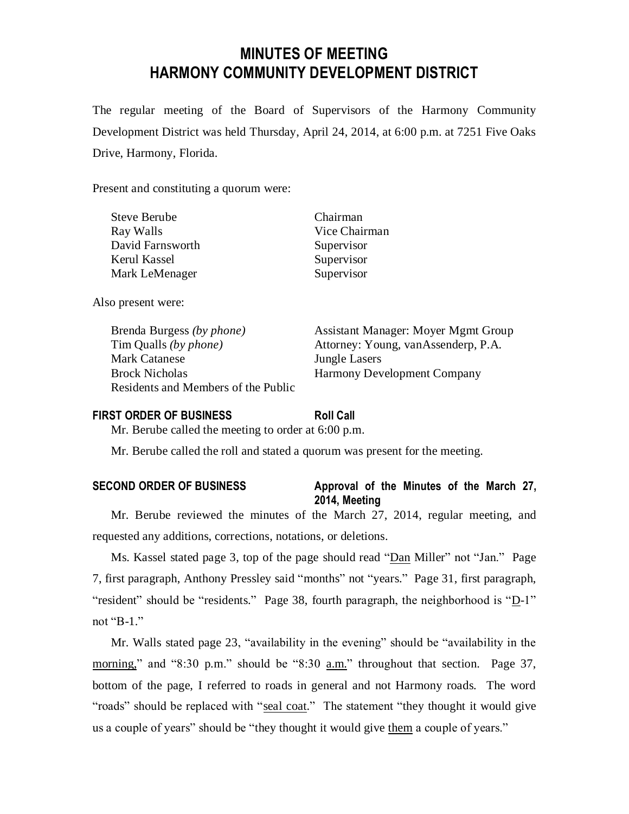# **MINUTES OF MEETING HARMONY COMMUNITY DEVELOPMENT DISTRICT**

The regular meeting of the Board of Supervisors of the Harmony Community Development District was held Thursday, April 24, 2014, at 6:00 p.m. at 7251 Five Oaks Drive, Harmony, Florida.

Present and constituting a quorum were:

| <b>Steve Berube</b> | Chairman      |
|---------------------|---------------|
| Ray Walls           | Vice Chairman |
| David Farnsworth    | Supervisor    |
| Kerul Kassel        | Supervisor    |
| Mark LeMenager      | Supervisor    |
|                     |               |

Also present were:

Mark Catanese **Jungle Lasers** Brock Nicholas Harmony Development Company Residents and Members of the Public

Brenda Burgess *(by phone)* Assistant Manager: Moyer Mgmt Group Tim Qualls *(by phone)* Attorney: Young, vanAssenderp, P.A.

## **FIRST ORDER OF BUSINESS Roll Call**

Mr. Berube called the meeting to order at 6:00 p.m.

Mr. Berube called the roll and stated a quorum was present for the meeting.

## **SECOND ORDER OF BUSINESS Approval of the Minutes of the March 27, 2014, Meeting**

Mr. Berube reviewed the minutes of the March 27, 2014, regular meeting, and requested any additions, corrections, notations, or deletions.

Ms. Kassel stated page 3, top of the page should read "Dan Miller" not "Jan." Page 7, first paragraph, Anthony Pressley said "months" not "years." Page 31, first paragraph, "resident" should be "residents." Page 38, fourth paragraph, the neighborhood is "D-1" not "B-1."

Mr. Walls stated page 23, "availability in the evening" should be "availability in the morning," and "8:30 p.m." should be "8:30 a.m." throughout that section. Page 37, bottom of the page, I referred to roads in general and not Harmony roads. The word "roads" should be replaced with "seal coat." The statement "they thought it would give us a couple of years" should be "they thought it would give them a couple of years."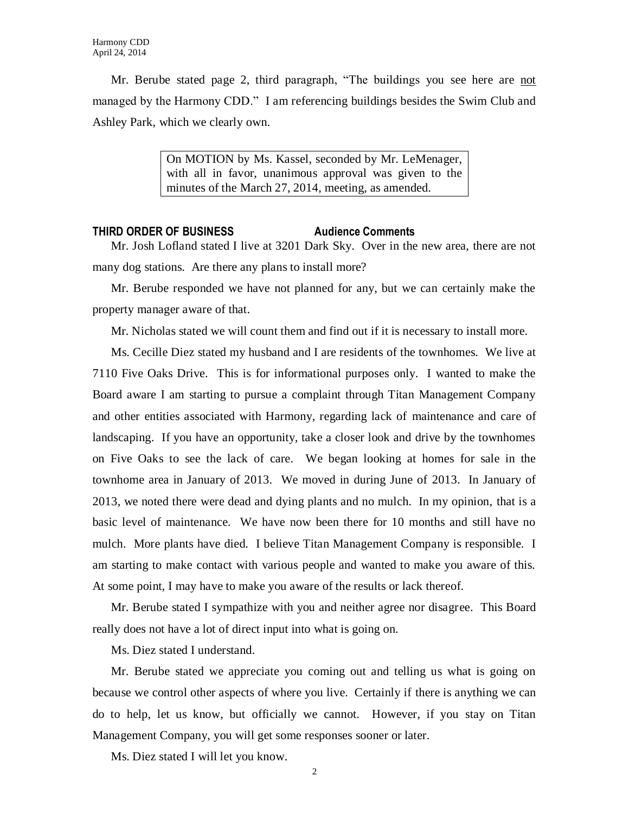Mr. Berube stated page 2, third paragraph, "The buildings you see here are not managed by the Harmony CDD." I am referencing buildings besides the Swim Club and Ashley Park, which we clearly own.

> On MOTION by Ms. Kassel, seconded by Mr. LeMenager, with all in favor, unanimous approval was given to the minutes of the March 27, 2014, meeting, as amended.

#### **THIRD ORDER OF BUSINESS Audience Comments**

Mr. Josh Lofland stated I live at 3201 Dark Sky. Over in the new area, there are not many dog stations. Are there any plans to install more?

Mr. Berube responded we have not planned for any, but we can certainly make the property manager aware of that.

Mr. Nicholas stated we will count them and find out if it is necessary to install more.

Ms. Cecille Diez stated my husband and I are residents of the townhomes. We live at 7110 Five Oaks Drive. This is for informational purposes only. I wanted to make the Board aware I am starting to pursue a complaint through Titan Management Company and other entities associated with Harmony, regarding lack of maintenance and care of landscaping. If you have an opportunity, take a closer look and drive by the townhomes on Five Oaks to see the lack of care. We began looking at homes for sale in the townhome area in January of 2013. We moved in during June of 2013. In January of 2013, we noted there were dead and dying plants and no mulch. In my opinion, that is a basic level of maintenance. We have now been there for 10 months and still have no mulch. More plants have died. I believe Titan Management Company is responsible. I am starting to make contact with various people and wanted to make you aware of this. At some point, I may have to make you aware of the results or lack thereof.

Mr. Berube stated I sympathize with you and neither agree nor disagree. This Board really does not have a lot of direct input into what is going on.

Ms. Diez stated I understand.

Mr. Berube stated we appreciate you coming out and telling us what is going on because we control other aspects of where you live. Certainly if there is anything we can do to help, let us know, but officially we cannot. However, if you stay on Titan Management Company, you will get some responses sooner or later.

Ms. Diez stated I will let you know.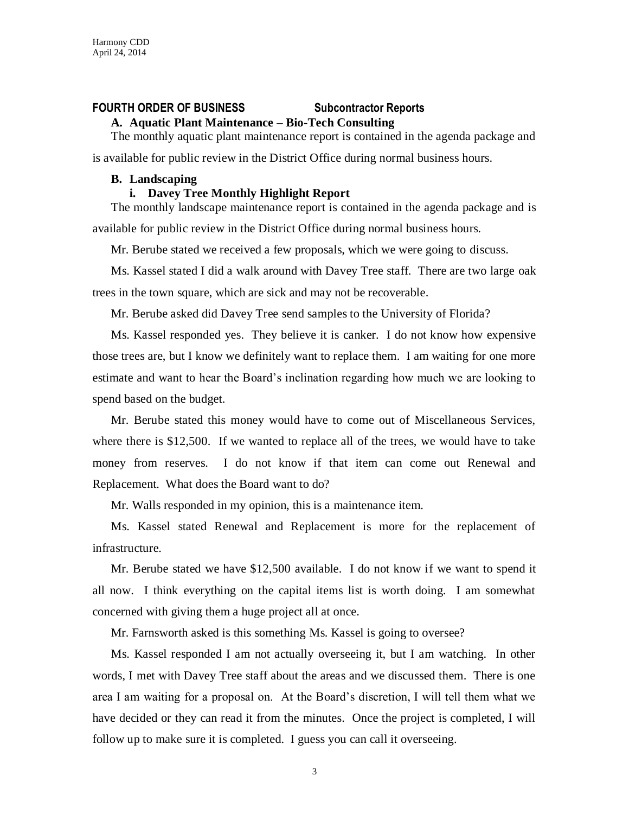## **FOURTH ORDER OF BUSINESS Subcontractor Reports**

## **A. Aquatic Plant Maintenance – Bio-Tech Consulting**

The monthly aquatic plant maintenance report is contained in the agenda package and is available for public review in the District Office during normal business hours.

#### **B. Landscaping**

#### **i. Davey Tree Monthly Highlight Report**

The monthly landscape maintenance report is contained in the agenda package and is available for public review in the District Office during normal business hours.

Mr. Berube stated we received a few proposals, which we were going to discuss.

Ms. Kassel stated I did a walk around with Davey Tree staff. There are two large oak trees in the town square, which are sick and may not be recoverable.

Mr. Berube asked did Davey Tree send samples to the University of Florida?

Ms. Kassel responded yes. They believe it is canker. I do not know how expensive those trees are, but I know we definitely want to replace them. I am waiting for one more estimate and want to hear the Board's inclination regarding how much we are looking to spend based on the budget.

Mr. Berube stated this money would have to come out of Miscellaneous Services, where there is \$12,500. If we wanted to replace all of the trees, we would have to take money from reserves. I do not know if that item can come out Renewal and Replacement. What does the Board want to do?

Mr. Walls responded in my opinion, this is a maintenance item.

Ms. Kassel stated Renewal and Replacement is more for the replacement of infrastructure.

Mr. Berube stated we have \$12,500 available. I do not know if we want to spend it all now. I think everything on the capital items list is worth doing. I am somewhat concerned with giving them a huge project all at once.

Mr. Farnsworth asked is this something Ms. Kassel is going to oversee?

Ms. Kassel responded I am not actually overseeing it, but I am watching. In other words, I met with Davey Tree staff about the areas and we discussed them. There is one area I am waiting for a proposal on. At the Board's discretion, I will tell them what we have decided or they can read it from the minutes. Once the project is completed, I will follow up to make sure it is completed. I guess you can call it overseeing.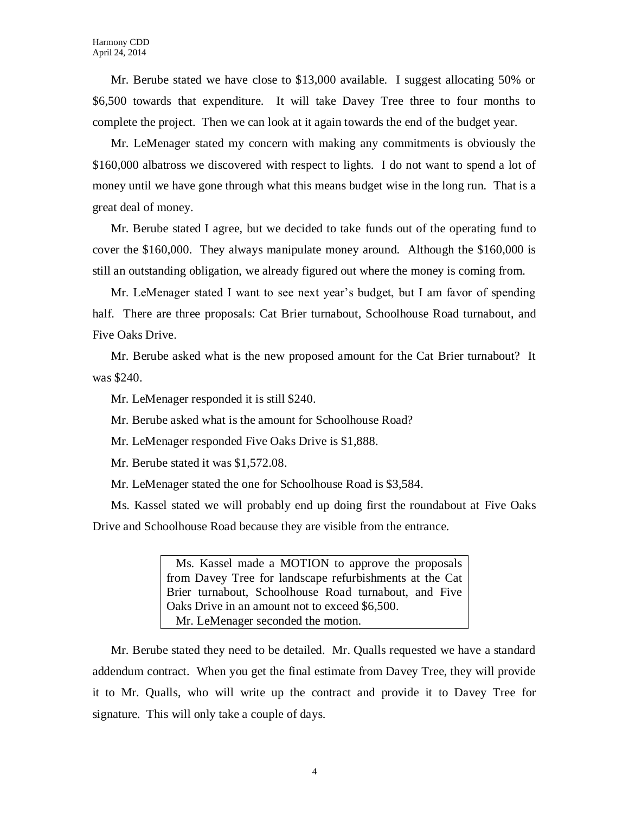Mr. Berube stated we have close to \$13,000 available. I suggest allocating 50% or \$6,500 towards that expenditure. It will take Davey Tree three to four months to complete the project. Then we can look at it again towards the end of the budget year.

Mr. LeMenager stated my concern with making any commitments is obviously the \$160,000 albatross we discovered with respect to lights. I do not want to spend a lot of money until we have gone through what this means budget wise in the long run. That is a great deal of money.

Mr. Berube stated I agree, but we decided to take funds out of the operating fund to cover the \$160,000. They always manipulate money around. Although the \$160,000 is still an outstanding obligation, we already figured out where the money is coming from.

Mr. LeMenager stated I want to see next year's budget, but I am favor of spending half. There are three proposals: Cat Brier turnabout, Schoolhouse Road turnabout, and Five Oaks Drive.

Mr. Berube asked what is the new proposed amount for the Cat Brier turnabout? It was \$240.

Mr. LeMenager responded it is still \$240.

Mr. Berube asked what is the amount for Schoolhouse Road?

Mr. LeMenager responded Five Oaks Drive is \$1,888.

Mr. Berube stated it was \$1,572.08.

Mr. LeMenager stated the one for Schoolhouse Road is \$3,584.

Ms. Kassel stated we will probably end up doing first the roundabout at Five Oaks Drive and Schoolhouse Road because they are visible from the entrance.

> Ms. Kassel made a MOTION to approve the proposals from Davey Tree for landscape refurbishments at the Cat Brier turnabout, Schoolhouse Road turnabout, and Five Oaks Drive in an amount not to exceed \$6,500. Mr. LeMenager seconded the motion.

Mr. Berube stated they need to be detailed. Mr. Qualls requested we have a standard addendum contract. When you get the final estimate from Davey Tree, they will provide it to Mr. Qualls, who will write up the contract and provide it to Davey Tree for signature. This will only take a couple of days.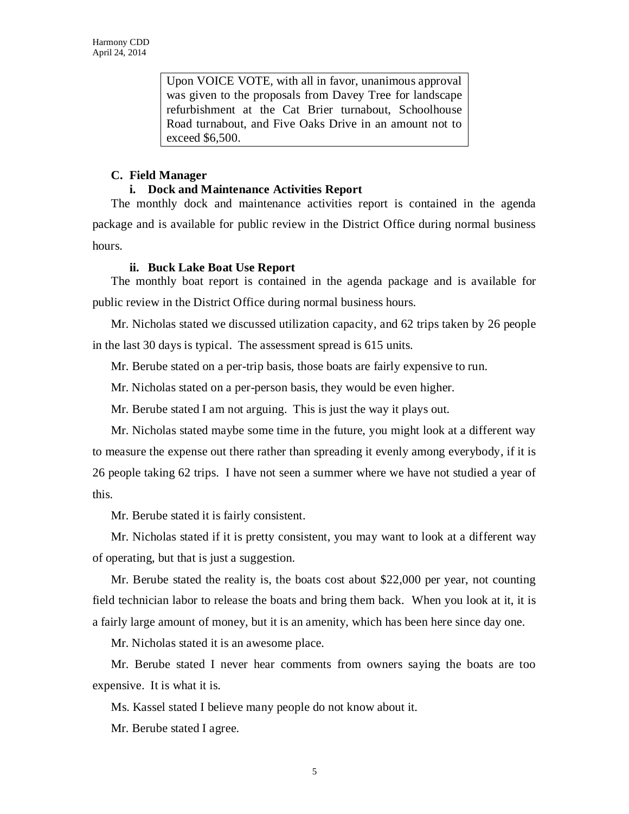Upon VOICE VOTE, with all in favor, unanimous approval was given to the proposals from Davey Tree for landscape refurbishment at the Cat Brier turnabout, Schoolhouse Road turnabout, and Five Oaks Drive in an amount not to exceed \$6,500.

### **C. Field Manager**

### **i. Dock and Maintenance Activities Report**

The monthly dock and maintenance activities report is contained in the agenda package and is available for public review in the District Office during normal business hours.

### **ii. Buck Lake Boat Use Report**

The monthly boat report is contained in the agenda package and is available for public review in the District Office during normal business hours.

Mr. Nicholas stated we discussed utilization capacity, and 62 trips taken by 26 people in the last 30 days is typical. The assessment spread is 615 units.

Mr. Berube stated on a per-trip basis, those boats are fairly expensive to run.

Mr. Nicholas stated on a per-person basis, they would be even higher.

Mr. Berube stated I am not arguing. This is just the way it plays out.

Mr. Nicholas stated maybe some time in the future, you might look at a different way to measure the expense out there rather than spreading it evenly among everybody, if it is 26 people taking 62 trips. I have not seen a summer where we have not studied a year of this.

Mr. Berube stated it is fairly consistent.

Mr. Nicholas stated if it is pretty consistent, you may want to look at a different way of operating, but that is just a suggestion.

Mr. Berube stated the reality is, the boats cost about \$22,000 per year, not counting field technician labor to release the boats and bring them back. When you look at it, it is a fairly large amount of money, but it is an amenity, which has been here since day one.

Mr. Nicholas stated it is an awesome place.

Mr. Berube stated I never hear comments from owners saying the boats are too expensive. It is what it is.

Ms. Kassel stated I believe many people do not know about it.

Mr. Berube stated I agree.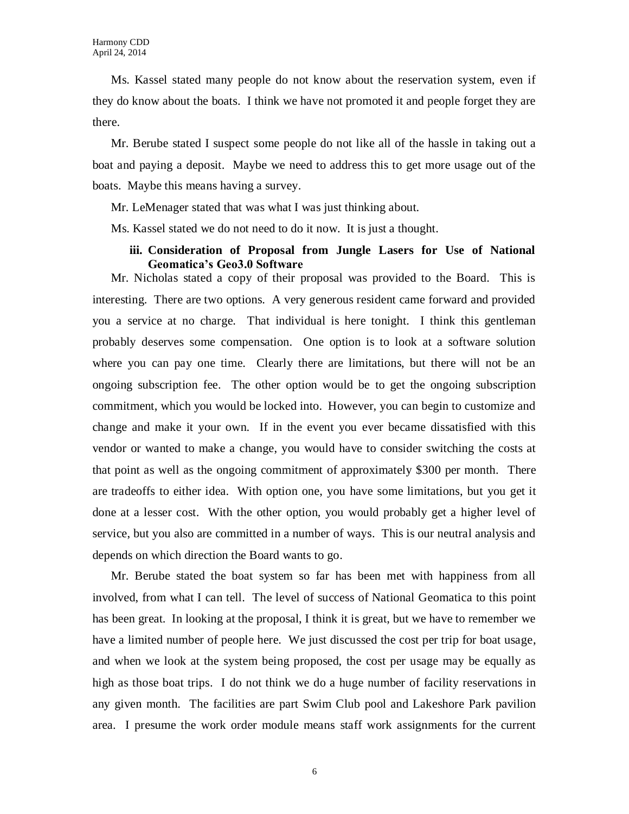Ms. Kassel stated many people do not know about the reservation system, even if they do know about the boats. I think we have not promoted it and people forget they are there.

Mr. Berube stated I suspect some people do not like all of the hassle in taking out a boat and paying a deposit. Maybe we need to address this to get more usage out of the boats. Maybe this means having a survey.

Mr. LeMenager stated that was what I was just thinking about.

Ms. Kassel stated we do not need to do it now. It is just a thought.

### **iii. Consideration of Proposal from Jungle Lasers for Use of National Geomatica's Geo3.0 Software**

Mr. Nicholas stated a copy of their proposal was provided to the Board. This is interesting. There are two options. A very generous resident came forward and provided you a service at no charge. That individual is here tonight. I think this gentleman probably deserves some compensation. One option is to look at a software solution where you can pay one time. Clearly there are limitations, but there will not be an ongoing subscription fee. The other option would be to get the ongoing subscription commitment, which you would be locked into. However, you can begin to customize and change and make it your own. If in the event you ever became dissatisfied with this vendor or wanted to make a change, you would have to consider switching the costs at that point as well as the ongoing commitment of approximately \$300 per month. There are tradeoffs to either idea. With option one, you have some limitations, but you get it done at a lesser cost. With the other option, you would probably get a higher level of service, but you also are committed in a number of ways. This is our neutral analysis and depends on which direction the Board wants to go.

Mr. Berube stated the boat system so far has been met with happiness from all involved, from what I can tell. The level of success of National Geomatica to this point has been great. In looking at the proposal, I think it is great, but we have to remember we have a limited number of people here. We just discussed the cost per trip for boat usage, and when we look at the system being proposed, the cost per usage may be equally as high as those boat trips. I do not think we do a huge number of facility reservations in any given month. The facilities are part Swim Club pool and Lakeshore Park pavilion area. I presume the work order module means staff work assignments for the current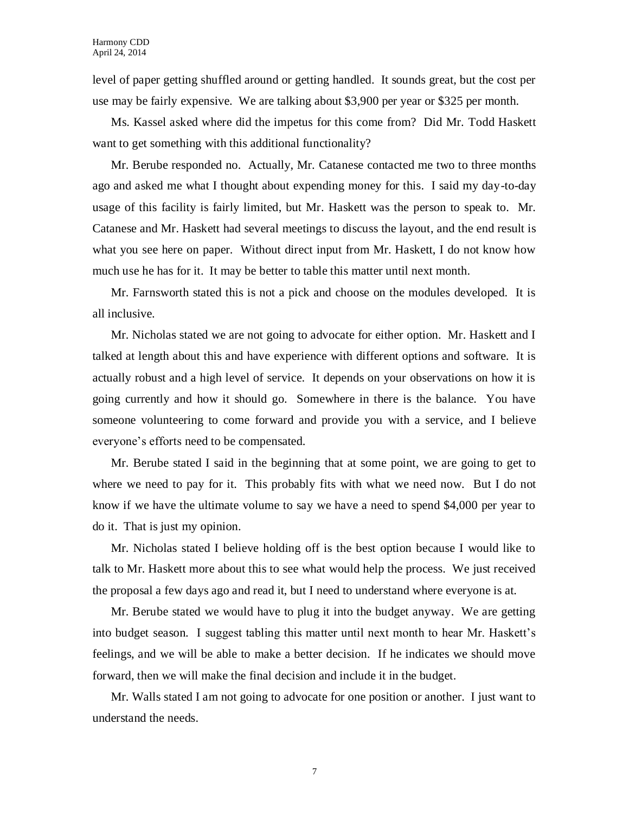level of paper getting shuffled around or getting handled. It sounds great, but the cost per use may be fairly expensive. We are talking about \$3,900 per year or \$325 per month.

Ms. Kassel asked where did the impetus for this come from? Did Mr. Todd Haskett want to get something with this additional functionality?

Mr. Berube responded no. Actually, Mr. Catanese contacted me two to three months ago and asked me what I thought about expending money for this. I said my day-to-day usage of this facility is fairly limited, but Mr. Haskett was the person to speak to. Mr. Catanese and Mr. Haskett had several meetings to discuss the layout, and the end result is what you see here on paper. Without direct input from Mr. Haskett, I do not know how much use he has for it. It may be better to table this matter until next month.

Mr. Farnsworth stated this is not a pick and choose on the modules developed. It is all inclusive.

Mr. Nicholas stated we are not going to advocate for either option. Mr. Haskett and I talked at length about this and have experience with different options and software. It is actually robust and a high level of service. It depends on your observations on how it is going currently and how it should go. Somewhere in there is the balance. You have someone volunteering to come forward and provide you with a service, and I believe everyone's efforts need to be compensated.

Mr. Berube stated I said in the beginning that at some point, we are going to get to where we need to pay for it. This probably fits with what we need now. But I do not know if we have the ultimate volume to say we have a need to spend \$4,000 per year to do it. That is just my opinion.

Mr. Nicholas stated I believe holding off is the best option because I would like to talk to Mr. Haskett more about this to see what would help the process. We just received the proposal a few days ago and read it, but I need to understand where everyone is at.

Mr. Berube stated we would have to plug it into the budget anyway. We are getting into budget season. I suggest tabling this matter until next month to hear Mr. Haskett's feelings, and we will be able to make a better decision. If he indicates we should move forward, then we will make the final decision and include it in the budget.

Mr. Walls stated I am not going to advocate for one position or another. I just want to understand the needs.

7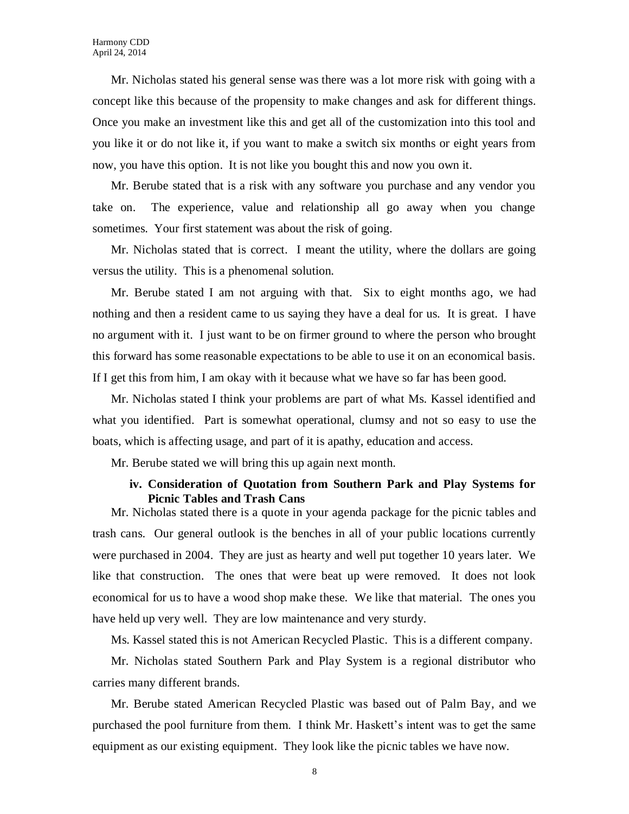Mr. Nicholas stated his general sense was there was a lot more risk with going with a concept like this because of the propensity to make changes and ask for different things. Once you make an investment like this and get all of the customization into this tool and you like it or do not like it, if you want to make a switch six months or eight years from now, you have this option. It is not like you bought this and now you own it.

Mr. Berube stated that is a risk with any software you purchase and any vendor you take on. The experience, value and relationship all go away when you change sometimes. Your first statement was about the risk of going.

Mr. Nicholas stated that is correct. I meant the utility, where the dollars are going versus the utility. This is a phenomenal solution.

Mr. Berube stated I am not arguing with that. Six to eight months ago, we had nothing and then a resident came to us saying they have a deal for us. It is great. I have no argument with it. I just want to be on firmer ground to where the person who brought this forward has some reasonable expectations to be able to use it on an economical basis. If I get this from him, I am okay with it because what we have so far has been good.

Mr. Nicholas stated I think your problems are part of what Ms. Kassel identified and what you identified. Part is somewhat operational, clumsy and not so easy to use the boats, which is affecting usage, and part of it is apathy, education and access.

Mr. Berube stated we will bring this up again next month.

### **iv. Consideration of Quotation from Southern Park and Play Systems for Picnic Tables and Trash Cans**

Mr. Nicholas stated there is a quote in your agenda package for the picnic tables and trash cans. Our general outlook is the benches in all of your public locations currently were purchased in 2004. They are just as hearty and well put together 10 years later. We like that construction. The ones that were beat up were removed. It does not look economical for us to have a wood shop make these. We like that material. The ones you have held up very well. They are low maintenance and very sturdy.

Ms. Kassel stated this is not American Recycled Plastic. This is a different company.

Mr. Nicholas stated Southern Park and Play System is a regional distributor who carries many different brands.

Mr. Berube stated American Recycled Plastic was based out of Palm Bay, and we purchased the pool furniture from them. I think Mr. Haskett's intent was to get the same equipment as our existing equipment. They look like the picnic tables we have now.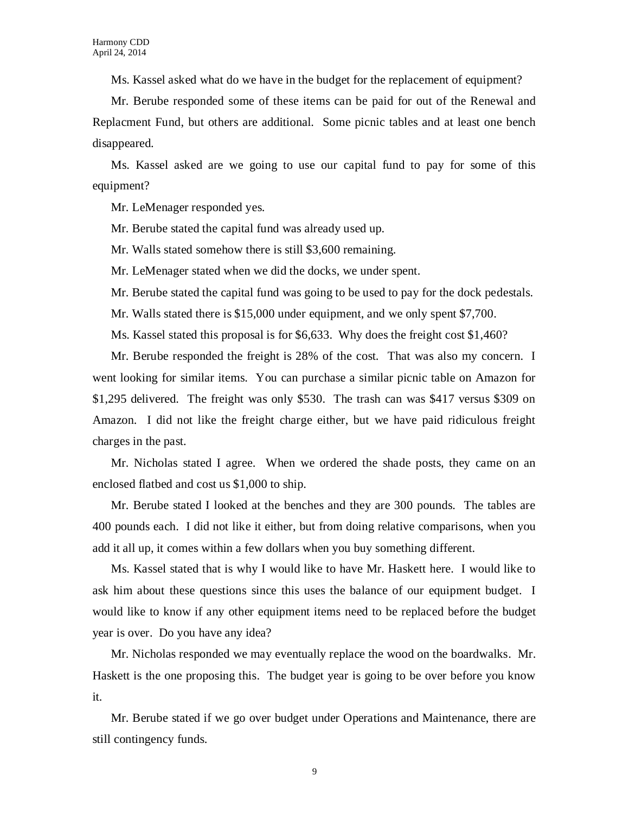Ms. Kassel asked what do we have in the budget for the replacement of equipment?

Mr. Berube responded some of these items can be paid for out of the Renewal and Replacment Fund, but others are additional. Some picnic tables and at least one bench disappeared.

Ms. Kassel asked are we going to use our capital fund to pay for some of this equipment?

Mr. LeMenager responded yes.

Mr. Berube stated the capital fund was already used up.

Mr. Walls stated somehow there is still \$3,600 remaining.

Mr. LeMenager stated when we did the docks, we under spent.

Mr. Berube stated the capital fund was going to be used to pay for the dock pedestals.

Mr. Walls stated there is \$15,000 under equipment, and we only spent \$7,700.

Ms. Kassel stated this proposal is for \$6,633. Why does the freight cost \$1,460?

Mr. Berube responded the freight is 28% of the cost. That was also my concern. I went looking for similar items. You can purchase a similar picnic table on Amazon for \$1,295 delivered. The freight was only \$530. The trash can was \$417 versus \$309 on Amazon. I did not like the freight charge either, but we have paid ridiculous freight charges in the past.

Mr. Nicholas stated I agree. When we ordered the shade posts, they came on an enclosed flatbed and cost us \$1,000 to ship.

Mr. Berube stated I looked at the benches and they are 300 pounds. The tables are 400 pounds each. I did not like it either, but from doing relative comparisons, when you add it all up, it comes within a few dollars when you buy something different.

Ms. Kassel stated that is why I would like to have Mr. Haskett here. I would like to ask him about these questions since this uses the balance of our equipment budget. I would like to know if any other equipment items need to be replaced before the budget year is over. Do you have any idea?

Mr. Nicholas responded we may eventually replace the wood on the boardwalks. Mr. Haskett is the one proposing this. The budget year is going to be over before you know it.

Mr. Berube stated if we go over budget under Operations and Maintenance, there are still contingency funds.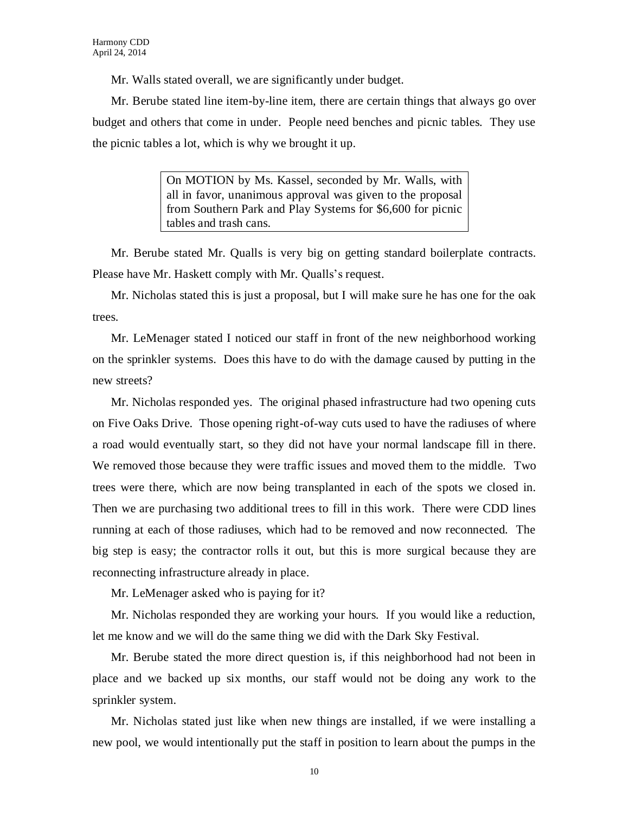Mr. Walls stated overall, we are significantly under budget.

Mr. Berube stated line item-by-line item, there are certain things that always go over budget and others that come in under. People need benches and picnic tables. They use the picnic tables a lot, which is why we brought it up.

> On MOTION by Ms. Kassel, seconded by Mr. Walls, with all in favor, unanimous approval was given to the proposal from Southern Park and Play Systems for \$6,600 for picnic tables and trash cans.

Mr. Berube stated Mr. Qualls is very big on getting standard boilerplate contracts. Please have Mr. Haskett comply with Mr. Qualls's request.

Mr. Nicholas stated this is just a proposal, but I will make sure he has one for the oak trees.

Mr. LeMenager stated I noticed our staff in front of the new neighborhood working on the sprinkler systems. Does this have to do with the damage caused by putting in the new streets?

Mr. Nicholas responded yes. The original phased infrastructure had two opening cuts on Five Oaks Drive. Those opening right-of-way cuts used to have the radiuses of where a road would eventually start, so they did not have your normal landscape fill in there. We removed those because they were traffic issues and moved them to the middle. Two trees were there, which are now being transplanted in each of the spots we closed in. Then we are purchasing two additional trees to fill in this work. There were CDD lines running at each of those radiuses, which had to be removed and now reconnected. The big step is easy; the contractor rolls it out, but this is more surgical because they are reconnecting infrastructure already in place.

Mr. LeMenager asked who is paying for it?

Mr. Nicholas responded they are working your hours. If you would like a reduction, let me know and we will do the same thing we did with the Dark Sky Festival.

Mr. Berube stated the more direct question is, if this neighborhood had not been in place and we backed up six months, our staff would not be doing any work to the sprinkler system.

Mr. Nicholas stated just like when new things are installed, if we were installing a new pool, we would intentionally put the staff in position to learn about the pumps in the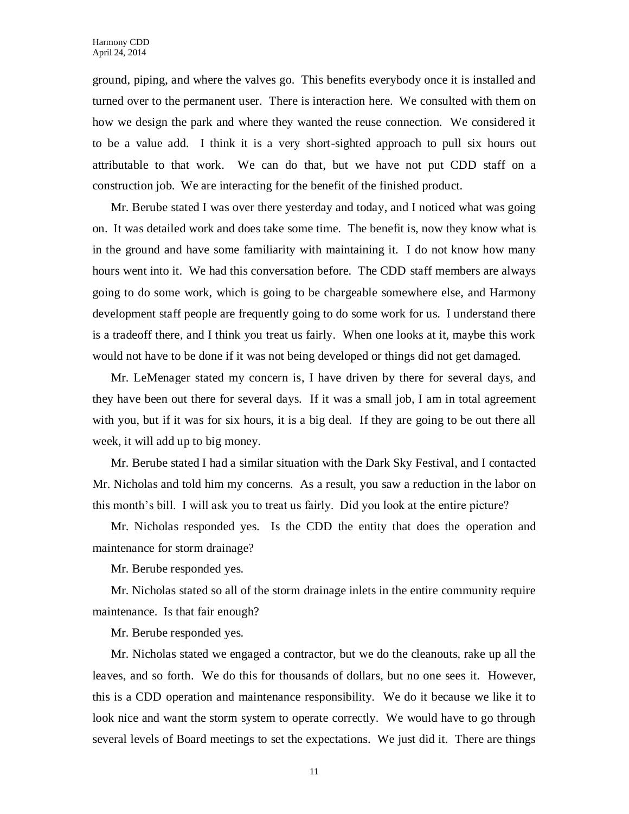ground, piping, and where the valves go. This benefits everybody once it is installed and turned over to the permanent user. There is interaction here. We consulted with them on how we design the park and where they wanted the reuse connection. We considered it to be a value add. I think it is a very short-sighted approach to pull six hours out attributable to that work. We can do that, but we have not put CDD staff on a construction job. We are interacting for the benefit of the finished product.

Mr. Berube stated I was over there yesterday and today, and I noticed what was going on. It was detailed work and does take some time. The benefit is, now they know what is in the ground and have some familiarity with maintaining it. I do not know how many hours went into it. We had this conversation before. The CDD staff members are always going to do some work, which is going to be chargeable somewhere else, and Harmony development staff people are frequently going to do some work for us. I understand there is a tradeoff there, and I think you treat us fairly. When one looks at it, maybe this work would not have to be done if it was not being developed or things did not get damaged.

Mr. LeMenager stated my concern is, I have driven by there for several days, and they have been out there for several days. If it was a small job, I am in total agreement with you, but if it was for six hours, it is a big deal. If they are going to be out there all week, it will add up to big money.

Mr. Berube stated I had a similar situation with the Dark Sky Festival, and I contacted Mr. Nicholas and told him my concerns. As a result, you saw a reduction in the labor on this month's bill. I will ask you to treat us fairly. Did you look at the entire picture?

Mr. Nicholas responded yes. Is the CDD the entity that does the operation and maintenance for storm drainage?

Mr. Berube responded yes.

Mr. Nicholas stated so all of the storm drainage inlets in the entire community require maintenance. Is that fair enough?

Mr. Berube responded yes.

Mr. Nicholas stated we engaged a contractor, but we do the cleanouts, rake up all the leaves, and so forth. We do this for thousands of dollars, but no one sees it. However, this is a CDD operation and maintenance responsibility. We do it because we like it to look nice and want the storm system to operate correctly. We would have to go through several levels of Board meetings to set the expectations. We just did it. There are things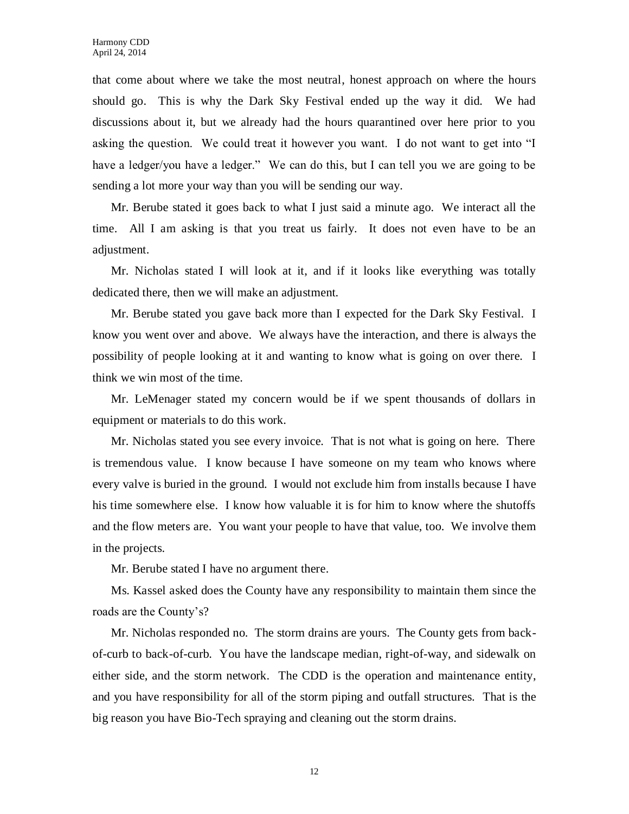that come about where we take the most neutral, honest approach on where the hours should go. This is why the Dark Sky Festival ended up the way it did. We had discussions about it, but we already had the hours quarantined over here prior to you asking the question. We could treat it however you want. I do not want to get into "I have a ledger/you have a ledger." We can do this, but I can tell you we are going to be sending a lot more your way than you will be sending our way.

Mr. Berube stated it goes back to what I just said a minute ago. We interact all the time. All I am asking is that you treat us fairly. It does not even have to be an adjustment.

Mr. Nicholas stated I will look at it, and if it looks like everything was totally dedicated there, then we will make an adjustment.

Mr. Berube stated you gave back more than I expected for the Dark Sky Festival. I know you went over and above. We always have the interaction, and there is always the possibility of people looking at it and wanting to know what is going on over there. I think we win most of the time.

Mr. LeMenager stated my concern would be if we spent thousands of dollars in equipment or materials to do this work.

Mr. Nicholas stated you see every invoice. That is not what is going on here. There is tremendous value. I know because I have someone on my team who knows where every valve is buried in the ground. I would not exclude him from installs because I have his time somewhere else. I know how valuable it is for him to know where the shutoffs and the flow meters are. You want your people to have that value, too. We involve them in the projects.

Mr. Berube stated I have no argument there.

Ms. Kassel asked does the County have any responsibility to maintain them since the roads are the County's?

Mr. Nicholas responded no. The storm drains are yours. The County gets from backof-curb to back-of-curb. You have the landscape median, right-of-way, and sidewalk on either side, and the storm network. The CDD is the operation and maintenance entity, and you have responsibility for all of the storm piping and outfall structures. That is the big reason you have Bio-Tech spraying and cleaning out the storm drains.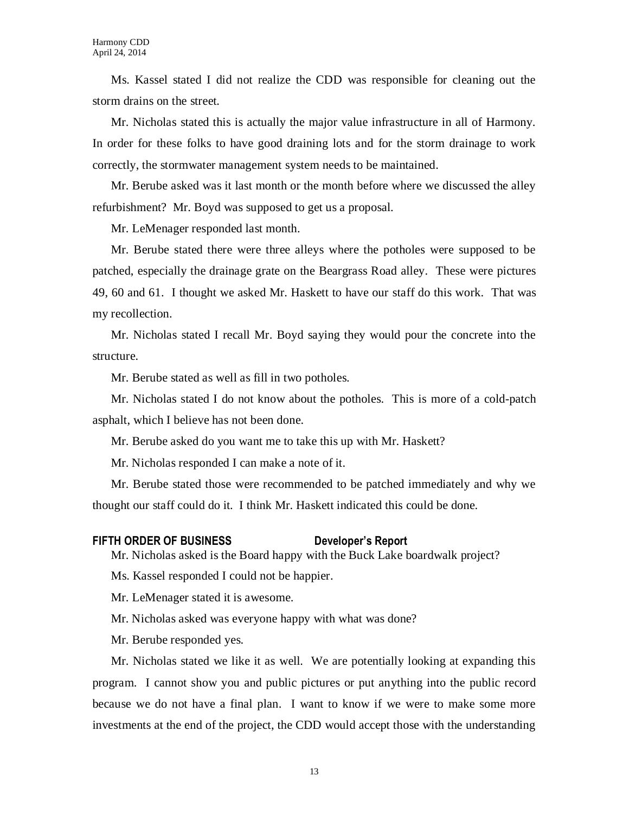Ms. Kassel stated I did not realize the CDD was responsible for cleaning out the storm drains on the street.

Mr. Nicholas stated this is actually the major value infrastructure in all of Harmony. In order for these folks to have good draining lots and for the storm drainage to work correctly, the stormwater management system needs to be maintained.

Mr. Berube asked was it last month or the month before where we discussed the alley refurbishment? Mr. Boyd was supposed to get us a proposal.

Mr. LeMenager responded last month.

Mr. Berube stated there were three alleys where the potholes were supposed to be patched, especially the drainage grate on the Beargrass Road alley. These were pictures 49, 60 and 61. I thought we asked Mr. Haskett to have our staff do this work. That was my recollection.

Mr. Nicholas stated I recall Mr. Boyd saying they would pour the concrete into the structure.

Mr. Berube stated as well as fill in two potholes.

Mr. Nicholas stated I do not know about the potholes. This is more of a cold-patch asphalt, which I believe has not been done.

Mr. Berube asked do you want me to take this up with Mr. Haskett?

Mr. Nicholas responded I can make a note of it.

Mr. Berube stated those were recommended to be patched immediately and why we thought our staff could do it. I think Mr. Haskett indicated this could be done.

#### **FIFTH ORDER OF BUSINESS Developer's Report**

Mr. Nicholas asked is the Board happy with the Buck Lake boardwalk project?

Ms. Kassel responded I could not be happier.

Mr. LeMenager stated it is awesome.

Mr. Nicholas asked was everyone happy with what was done?

Mr. Berube responded yes.

Mr. Nicholas stated we like it as well. We are potentially looking at expanding this program. I cannot show you and public pictures or put anything into the public record because we do not have a final plan. I want to know if we were to make some more investments at the end of the project, the CDD would accept those with the understanding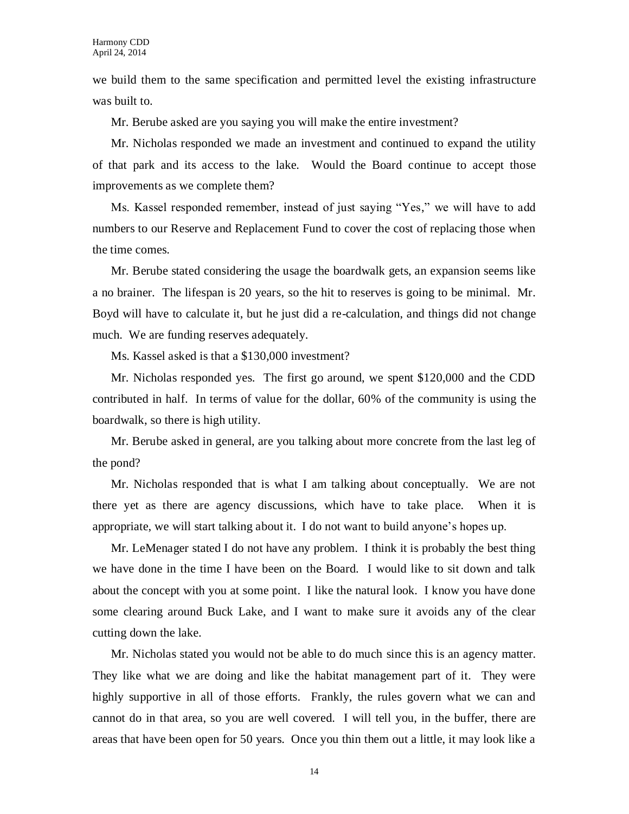we build them to the same specification and permitted level the existing infrastructure was built to.

Mr. Berube asked are you saying you will make the entire investment?

Mr. Nicholas responded we made an investment and continued to expand the utility of that park and its access to the lake. Would the Board continue to accept those improvements as we complete them?

Ms. Kassel responded remember, instead of just saying "Yes," we will have to add numbers to our Reserve and Replacement Fund to cover the cost of replacing those when the time comes.

Mr. Berube stated considering the usage the boardwalk gets, an expansion seems like a no brainer. The lifespan is 20 years, so the hit to reserves is going to be minimal. Mr. Boyd will have to calculate it, but he just did a re-calculation, and things did not change much. We are funding reserves adequately.

Ms. Kassel asked is that a \$130,000 investment?

Mr. Nicholas responded yes. The first go around, we spent \$120,000 and the CDD contributed in half. In terms of value for the dollar, 60% of the community is using the boardwalk, so there is high utility.

Mr. Berube asked in general, are you talking about more concrete from the last leg of the pond?

Mr. Nicholas responded that is what I am talking about conceptually. We are not there yet as there are agency discussions, which have to take place. When it is appropriate, we will start talking about it. I do not want to build anyone's hopes up.

Mr. LeMenager stated I do not have any problem. I think it is probably the best thing we have done in the time I have been on the Board. I would like to sit down and talk about the concept with you at some point. I like the natural look. I know you have done some clearing around Buck Lake, and I want to make sure it avoids any of the clear cutting down the lake.

Mr. Nicholas stated you would not be able to do much since this is an agency matter. They like what we are doing and like the habitat management part of it. They were highly supportive in all of those efforts. Frankly, the rules govern what we can and cannot do in that area, so you are well covered. I will tell you, in the buffer, there are areas that have been open for 50 years. Once you thin them out a little, it may look like a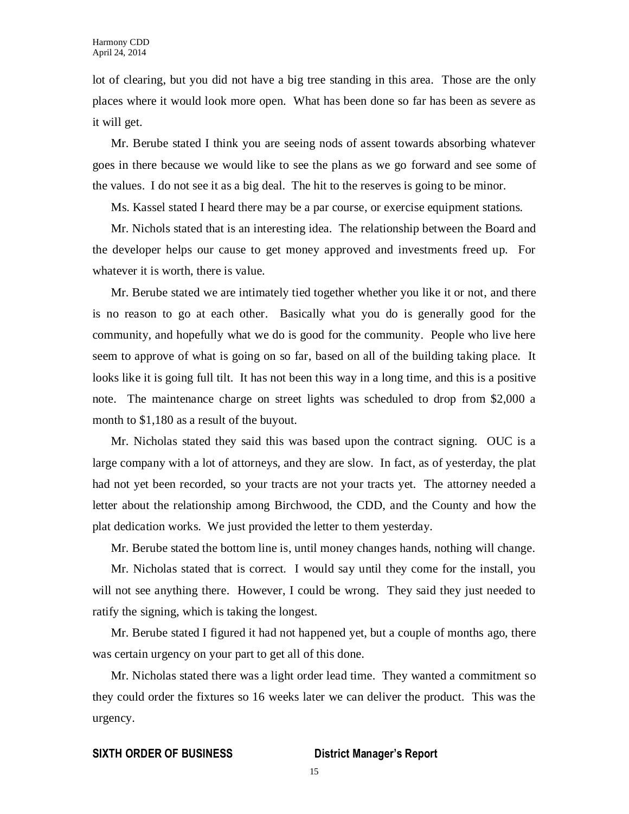lot of clearing, but you did not have a big tree standing in this area. Those are the only places where it would look more open. What has been done so far has been as severe as it will get.

Mr. Berube stated I think you are seeing nods of assent towards absorbing whatever goes in there because we would like to see the plans as we go forward and see some of the values. I do not see it as a big deal. The hit to the reserves is going to be minor.

Ms. Kassel stated I heard there may be a par course, or exercise equipment stations.

Mr. Nichols stated that is an interesting idea. The relationship between the Board and the developer helps our cause to get money approved and investments freed up. For whatever it is worth, there is value.

Mr. Berube stated we are intimately tied together whether you like it or not, and there is no reason to go at each other. Basically what you do is generally good for the community, and hopefully what we do is good for the community. People who live here seem to approve of what is going on so far, based on all of the building taking place. It looks like it is going full tilt. It has not been this way in a long time, and this is a positive note. The maintenance charge on street lights was scheduled to drop from \$2,000 a month to \$1,180 as a result of the buyout.

Mr. Nicholas stated they said this was based upon the contract signing. OUC is a large company with a lot of attorneys, and they are slow. In fact, as of yesterday, the plat had not yet been recorded, so your tracts are not your tracts yet. The attorney needed a letter about the relationship among Birchwood, the CDD, and the County and how the plat dedication works. We just provided the letter to them yesterday.

Mr. Berube stated the bottom line is, until money changes hands, nothing will change.

Mr. Nicholas stated that is correct. I would say until they come for the install, you will not see anything there. However, I could be wrong. They said they just needed to ratify the signing, which is taking the longest.

Mr. Berube stated I figured it had not happened yet, but a couple of months ago, there was certain urgency on your part to get all of this done.

Mr. Nicholas stated there was a light order lead time. They wanted a commitment so they could order the fixtures so 16 weeks later we can deliver the product. This was the urgency.

#### **SIXTH ORDER OF BUSINESS District Manager's Report**

15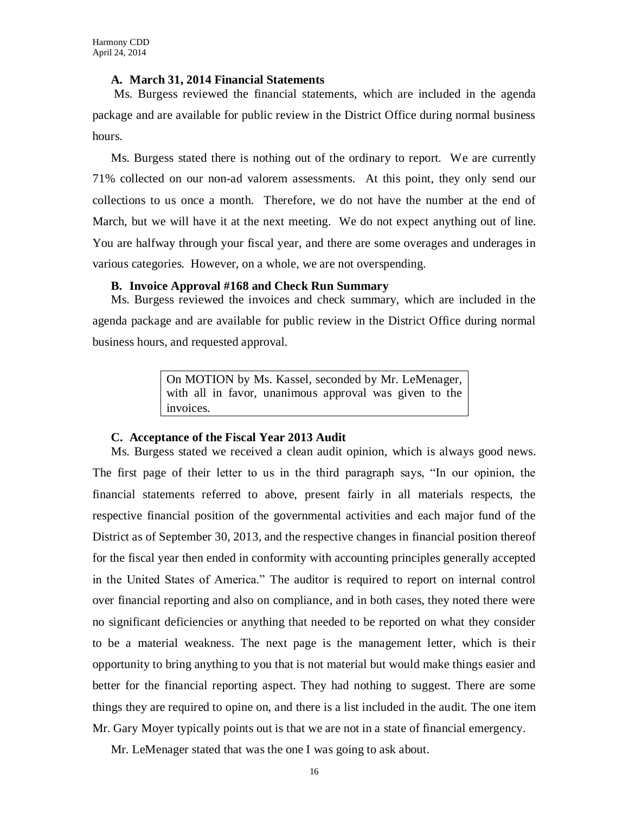#### **A. March 31, 2014 Financial Statements**

Ms. Burgess reviewed the financial statements, which are included in the agenda package and are available for public review in the District Office during normal business hours.

Ms. Burgess stated there is nothing out of the ordinary to report. We are currently 71% collected on our non-ad valorem assessments. At this point, they only send our collections to us once a month. Therefore, we do not have the number at the end of March, but we will have it at the next meeting. We do not expect anything out of line. You are halfway through your fiscal year, and there are some overages and underages in various categories. However, on a whole, we are not overspending.

#### **B. Invoice Approval #168 and Check Run Summary**

Ms. Burgess reviewed the invoices and check summary, which are included in the agenda package and are available for public review in the District Office during normal business hours, and requested approval.

> On MOTION by Ms. Kassel, seconded by Mr. LeMenager, with all in favor, unanimous approval was given to the invoices.

#### **C. Acceptance of the Fiscal Year 2013 Audit**

Ms. Burgess stated we received a clean audit opinion, which is always good news. The first page of their letter to us in the third paragraph says, "In our opinion, the financial statements referred to above, present fairly in all materials respects, the respective financial position of the governmental activities and each major fund of the District as of September 30, 2013, and the respective changes in financial position thereof for the fiscal year then ended in conformity with accounting principles generally accepted in the United States of America." The auditor is required to report on internal control over financial reporting and also on compliance, and in both cases, they noted there were no significant deficiencies or anything that needed to be reported on what they consider to be a material weakness. The next page is the management letter, which is their opportunity to bring anything to you that is not material but would make things easier and better for the financial reporting aspect. They had nothing to suggest. There are some things they are required to opine on, and there is a list included in the audit. The one item Mr. Gary Moyer typically points out is that we are not in a state of financial emergency.

Mr. LeMenager stated that was the one I was going to ask about.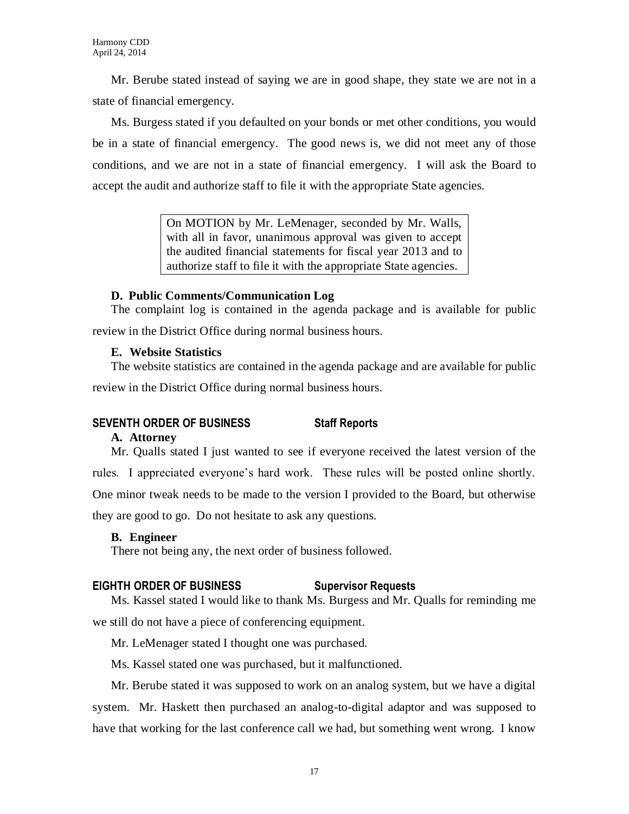Mr. Berube stated instead of saying we are in good shape, they state we are not in a state of financial emergency.

Ms. Burgess stated if you defaulted on your bonds or met other conditions, you would be in a state of financial emergency. The good news is, we did not meet any of those conditions, and we are not in a state of financial emergency. I will ask the Board to accept the audit and authorize staff to file it with the appropriate State agencies.

> On MOTION by Mr. LeMenager, seconded by Mr. Walls, with all in favor, unanimous approval was given to accept the audited financial statements for fiscal year 2013 and to authorize staff to file it with the appropriate State agencies.

### **D. Public Comments/Communication Log**

The complaint log is contained in the agenda package and is available for public review in the District Office during normal business hours.

## **E. Website Statistics**

The website statistics are contained in the agenda package and are available for public review in the District Office during normal business hours.

## **SEVENTH ORDER OF BUSINESS Staff Reports**

## **A. Attorney**

Mr. Qualls stated I just wanted to see if everyone received the latest version of the rules. I appreciated everyone's hard work. These rules will be posted online shortly. One minor tweak needs to be made to the version I provided to the Board, but otherwise they are good to go. Do not hesitate to ask any questions.

## **B. Engineer**

There not being any, the next order of business followed.

## **EIGHTH ORDER OF BUSINESS Supervisor Requests**

Ms. Kassel stated I would like to thank Ms. Burgess and Mr. Qualls for reminding me we still do not have a piece of conferencing equipment.

Mr. LeMenager stated I thought one was purchased.

Ms. Kassel stated one was purchased, but it malfunctioned.

Mr. Berube stated it was supposed to work on an analog system, but we have a digital system. Mr. Haskett then purchased an analog-to-digital adaptor and was supposed to have that working for the last conference call we had, but something went wrong. I know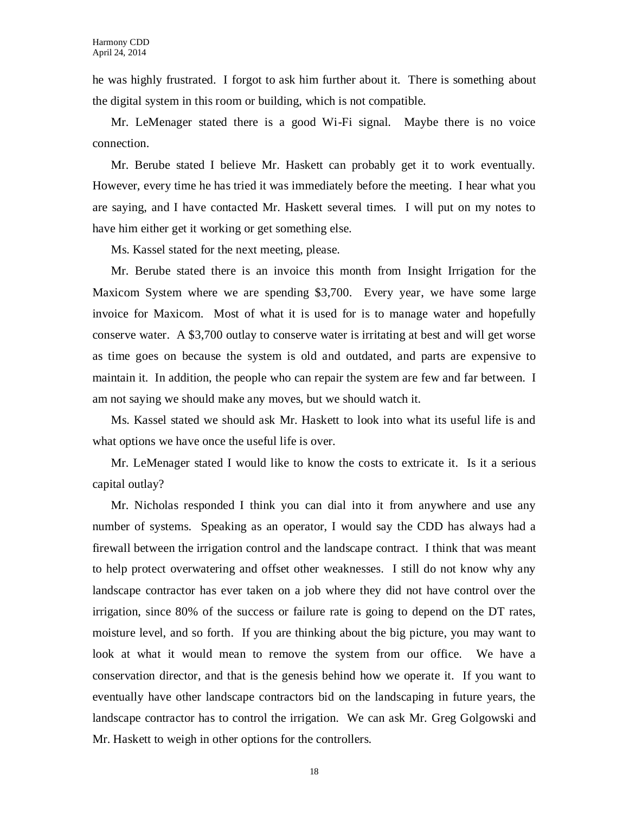he was highly frustrated. I forgot to ask him further about it. There is something about the digital system in this room or building, which is not compatible.

Mr. LeMenager stated there is a good Wi-Fi signal. Maybe there is no voice connection.

Mr. Berube stated I believe Mr. Haskett can probably get it to work eventually. However, every time he has tried it was immediately before the meeting. I hear what you are saying, and I have contacted Mr. Haskett several times. I will put on my notes to have him either get it working or get something else.

Ms. Kassel stated for the next meeting, please.

Mr. Berube stated there is an invoice this month from Insight Irrigation for the Maxicom System where we are spending \$3,700. Every year, we have some large invoice for Maxicom. Most of what it is used for is to manage water and hopefully conserve water. A \$3,700 outlay to conserve water is irritating at best and will get worse as time goes on because the system is old and outdated, and parts are expensive to maintain it. In addition, the people who can repair the system are few and far between. I am not saying we should make any moves, but we should watch it.

Ms. Kassel stated we should ask Mr. Haskett to look into what its useful life is and what options we have once the useful life is over.

Mr. LeMenager stated I would like to know the costs to extricate it. Is it a serious capital outlay?

Mr. Nicholas responded I think you can dial into it from anywhere and use any number of systems. Speaking as an operator, I would say the CDD has always had a firewall between the irrigation control and the landscape contract. I think that was meant to help protect overwatering and offset other weaknesses. I still do not know why any landscape contractor has ever taken on a job where they did not have control over the irrigation, since 80% of the success or failure rate is going to depend on the DT rates, moisture level, and so forth. If you are thinking about the big picture, you may want to look at what it would mean to remove the system from our office. We have a conservation director, and that is the genesis behind how we operate it. If you want to eventually have other landscape contractors bid on the landscaping in future years, the landscape contractor has to control the irrigation. We can ask Mr. Greg Golgowski and Mr. Haskett to weigh in other options for the controllers.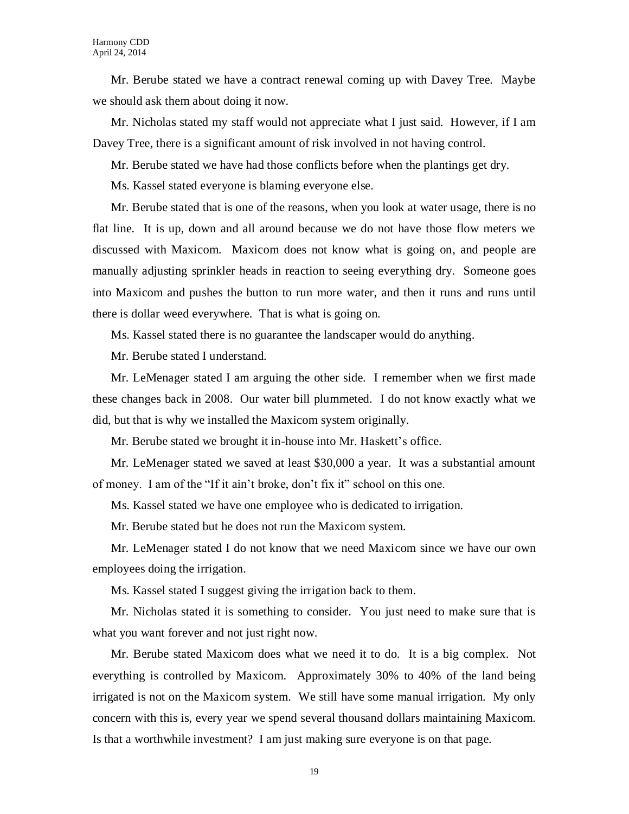Mr. Berube stated we have a contract renewal coming up with Davey Tree. Maybe we should ask them about doing it now.

Mr. Nicholas stated my staff would not appreciate what I just said. However, if I am Davey Tree, there is a significant amount of risk involved in not having control.

Mr. Berube stated we have had those conflicts before when the plantings get dry.

Ms. Kassel stated everyone is blaming everyone else.

Mr. Berube stated that is one of the reasons, when you look at water usage, there is no flat line. It is up, down and all around because we do not have those flow meters we discussed with Maxicom. Maxicom does not know what is going on, and people are manually adjusting sprinkler heads in reaction to seeing everything dry. Someone goes into Maxicom and pushes the button to run more water, and then it runs and runs until there is dollar weed everywhere. That is what is going on.

Ms. Kassel stated there is no guarantee the landscaper would do anything.

Mr. Berube stated I understand.

Mr. LeMenager stated I am arguing the other side. I remember when we first made these changes back in 2008. Our water bill plummeted. I do not know exactly what we did, but that is why we installed the Maxicom system originally.

Mr. Berube stated we brought it in-house into Mr. Haskett's office.

Mr. LeMenager stated we saved at least \$30,000 a year. It was a substantial amount of money. I am of the "If it ain't broke, don't fix it" school on this one.

Ms. Kassel stated we have one employee who is dedicated to irrigation.

Mr. Berube stated but he does not run the Maxicom system.

Mr. LeMenager stated I do not know that we need Maxicom since we have our own employees doing the irrigation.

Ms. Kassel stated I suggest giving the irrigation back to them.

Mr. Nicholas stated it is something to consider. You just need to make sure that is what you want forever and not just right now.

Mr. Berube stated Maxicom does what we need it to do. It is a big complex. Not everything is controlled by Maxicom. Approximately 30% to 40% of the land being irrigated is not on the Maxicom system. We still have some manual irrigation. My only concern with this is, every year we spend several thousand dollars maintaining Maxicom. Is that a worthwhile investment? I am just making sure everyone is on that page.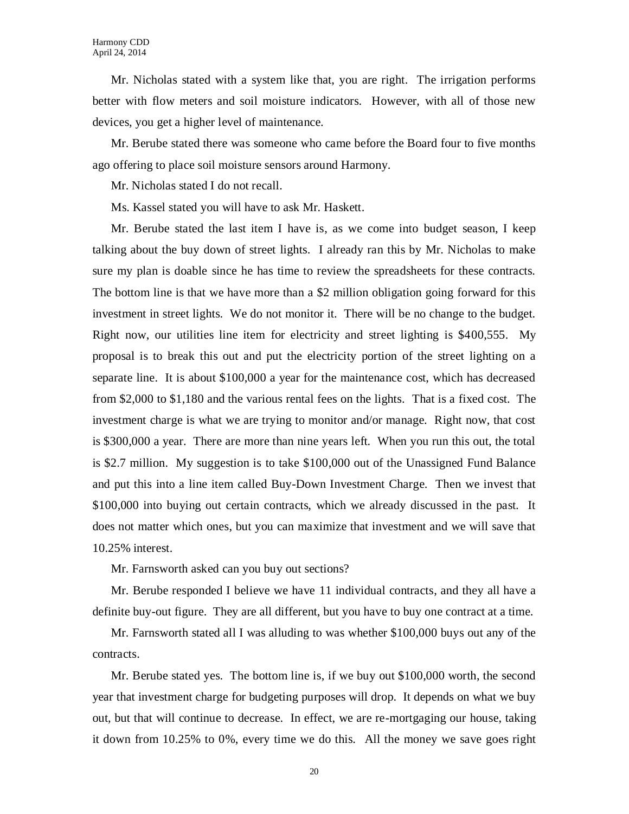Mr. Nicholas stated with a system like that, you are right. The irrigation performs better with flow meters and soil moisture indicators. However, with all of those new devices, you get a higher level of maintenance.

Mr. Berube stated there was someone who came before the Board four to five months ago offering to place soil moisture sensors around Harmony.

Mr. Nicholas stated I do not recall.

Ms. Kassel stated you will have to ask Mr. Haskett.

Mr. Berube stated the last item I have is, as we come into budget season, I keep talking about the buy down of street lights. I already ran this by Mr. Nicholas to make sure my plan is doable since he has time to review the spreadsheets for these contracts. The bottom line is that we have more than a \$2 million obligation going forward for this investment in street lights. We do not monitor it. There will be no change to the budget. Right now, our utilities line item for electricity and street lighting is \$400,555. My proposal is to break this out and put the electricity portion of the street lighting on a separate line. It is about \$100,000 a year for the maintenance cost, which has decreased from \$2,000 to \$1,180 and the various rental fees on the lights. That is a fixed cost. The investment charge is what we are trying to monitor and/or manage. Right now, that cost is \$300,000 a year. There are more than nine years left. When you run this out, the total is \$2.7 million. My suggestion is to take \$100,000 out of the Unassigned Fund Balance and put this into a line item called Buy-Down Investment Charge. Then we invest that \$100,000 into buying out certain contracts, which we already discussed in the past. It does not matter which ones, but you can maximize that investment and we will save that 10.25% interest.

Mr. Farnsworth asked can you buy out sections?

Mr. Berube responded I believe we have 11 individual contracts, and they all have a definite buy-out figure. They are all different, but you have to buy one contract at a time.

Mr. Farnsworth stated all I was alluding to was whether \$100,000 buys out any of the contracts.

Mr. Berube stated yes. The bottom line is, if we buy out \$100,000 worth, the second year that investment charge for budgeting purposes will drop. It depends on what we buy out, but that will continue to decrease. In effect, we are re-mortgaging our house, taking it down from 10.25% to 0%, every time we do this. All the money we save goes right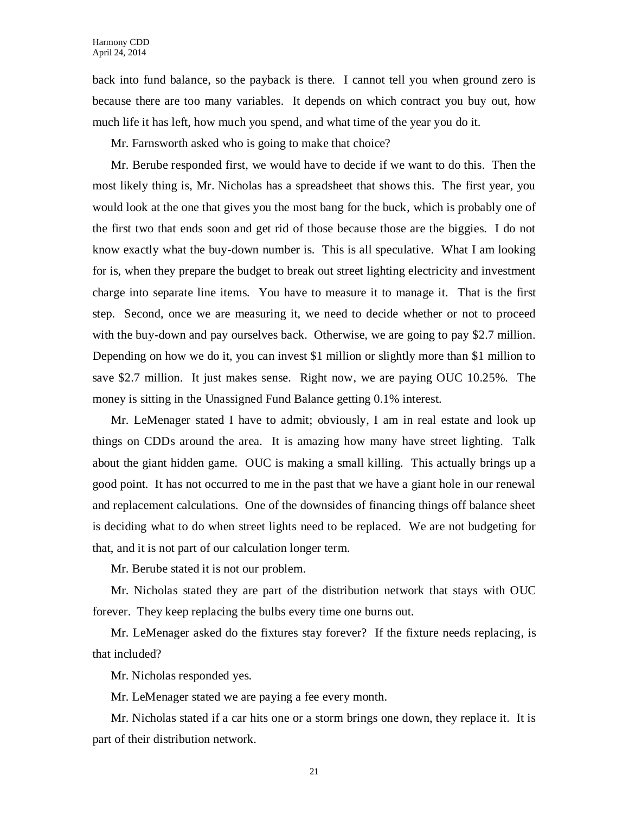back into fund balance, so the payback is there. I cannot tell you when ground zero is because there are too many variables. It depends on which contract you buy out, how much life it has left, how much you spend, and what time of the year you do it.

Mr. Farnsworth asked who is going to make that choice?

Mr. Berube responded first, we would have to decide if we want to do this. Then the most likely thing is, Mr. Nicholas has a spreadsheet that shows this. The first year, you would look at the one that gives you the most bang for the buck, which is probably one of the first two that ends soon and get rid of those because those are the biggies. I do not know exactly what the buy-down number is. This is all speculative. What I am looking for is, when they prepare the budget to break out street lighting electricity and investment charge into separate line items. You have to measure it to manage it. That is the first step. Second, once we are measuring it, we need to decide whether or not to proceed with the buy-down and pay ourselves back. Otherwise, we are going to pay \$2.7 million. Depending on how we do it, you can invest \$1 million or slightly more than \$1 million to save \$2.7 million. It just makes sense. Right now, we are paying OUC 10.25%. The money is sitting in the Unassigned Fund Balance getting 0.1% interest.

Mr. LeMenager stated I have to admit; obviously, I am in real estate and look up things on CDDs around the area. It is amazing how many have street lighting. Talk about the giant hidden game. OUC is making a small killing. This actually brings up a good point. It has not occurred to me in the past that we have a giant hole in our renewal and replacement calculations. One of the downsides of financing things off balance sheet is deciding what to do when street lights need to be replaced. We are not budgeting for that, and it is not part of our calculation longer term.

Mr. Berube stated it is not our problem.

Mr. Nicholas stated they are part of the distribution network that stays with OUC forever. They keep replacing the bulbs every time one burns out.

Mr. LeMenager asked do the fixtures stay forever? If the fixture needs replacing, is that included?

Mr. Nicholas responded yes.

Mr. LeMenager stated we are paying a fee every month.

Mr. Nicholas stated if a car hits one or a storm brings one down, they replace it. It is part of their distribution network.

21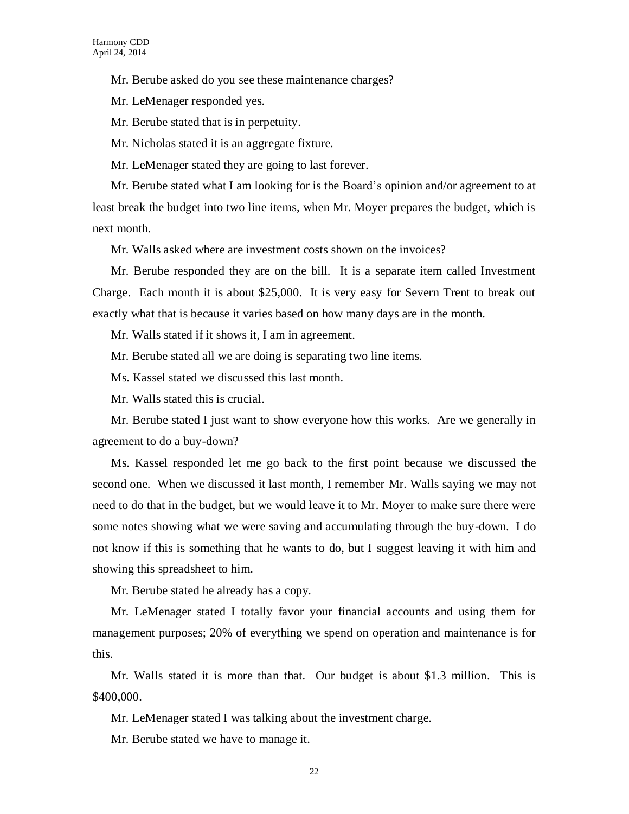Mr. Berube asked do you see these maintenance charges?

Mr. LeMenager responded yes.

Mr. Berube stated that is in perpetuity.

Mr. Nicholas stated it is an aggregate fixture.

Mr. LeMenager stated they are going to last forever.

Mr. Berube stated what I am looking for is the Board's opinion and/or agreement to at least break the budget into two line items, when Mr. Moyer prepares the budget, which is next month.

Mr. Walls asked where are investment costs shown on the invoices?

Mr. Berube responded they are on the bill. It is a separate item called Investment Charge. Each month it is about \$25,000. It is very easy for Severn Trent to break out exactly what that is because it varies based on how many days are in the month.

Mr. Walls stated if it shows it, I am in agreement.

Mr. Berube stated all we are doing is separating two line items.

Ms. Kassel stated we discussed this last month.

Mr. Walls stated this is crucial.

Mr. Berube stated I just want to show everyone how this works. Are we generally in agreement to do a buy-down?

Ms. Kassel responded let me go back to the first point because we discussed the second one. When we discussed it last month, I remember Mr. Walls saying we may not need to do that in the budget, but we would leave it to Mr. Moyer to make sure there were some notes showing what we were saving and accumulating through the buy-down. I do not know if this is something that he wants to do, but I suggest leaving it with him and showing this spreadsheet to him.

Mr. Berube stated he already has a copy.

Mr. LeMenager stated I totally favor your financial accounts and using them for management purposes; 20% of everything we spend on operation and maintenance is for this.

Mr. Walls stated it is more than that. Our budget is about \$1.3 million. This is \$400,000.

Mr. LeMenager stated I was talking about the investment charge.

Mr. Berube stated we have to manage it.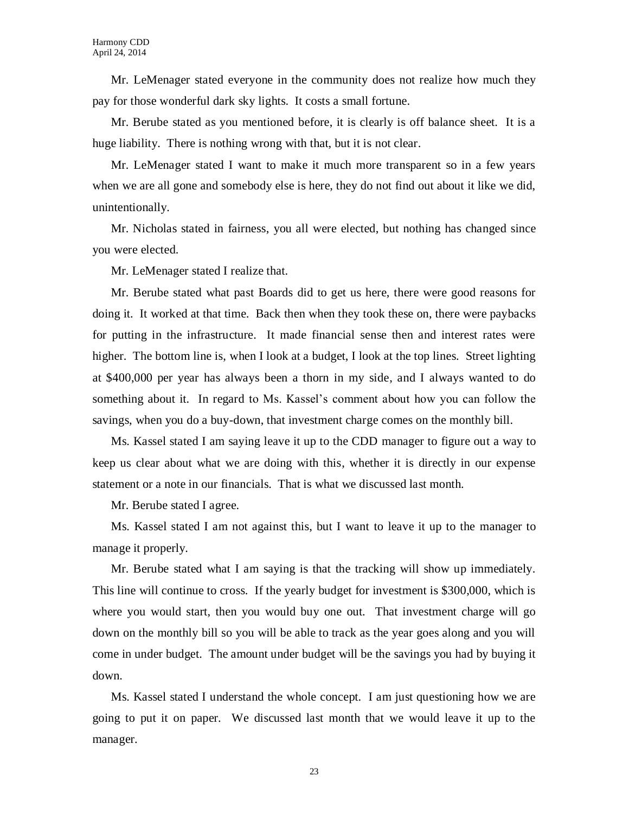Mr. LeMenager stated everyone in the community does not realize how much they pay for those wonderful dark sky lights. It costs a small fortune.

Mr. Berube stated as you mentioned before, it is clearly is off balance sheet. It is a huge liability. There is nothing wrong with that, but it is not clear.

Mr. LeMenager stated I want to make it much more transparent so in a few years when we are all gone and somebody else is here, they do not find out about it like we did, unintentionally.

Mr. Nicholas stated in fairness, you all were elected, but nothing has changed since you were elected.

Mr. LeMenager stated I realize that.

Mr. Berube stated what past Boards did to get us here, there were good reasons for doing it. It worked at that time. Back then when they took these on, there were paybacks for putting in the infrastructure. It made financial sense then and interest rates were higher. The bottom line is, when I look at a budget, I look at the top lines. Street lighting at \$400,000 per year has always been a thorn in my side, and I always wanted to do something about it. In regard to Ms. Kassel's comment about how you can follow the savings, when you do a buy-down, that investment charge comes on the monthly bill.

Ms. Kassel stated I am saying leave it up to the CDD manager to figure out a way to keep us clear about what we are doing with this, whether it is directly in our expense statement or a note in our financials. That is what we discussed last month.

Mr. Berube stated I agree.

Ms. Kassel stated I am not against this, but I want to leave it up to the manager to manage it properly.

Mr. Berube stated what I am saying is that the tracking will show up immediately. This line will continue to cross. If the yearly budget for investment is \$300,000, which is where you would start, then you would buy one out. That investment charge will go down on the monthly bill so you will be able to track as the year goes along and you will come in under budget. The amount under budget will be the savings you had by buying it down.

Ms. Kassel stated I understand the whole concept. I am just questioning how we are going to put it on paper. We discussed last month that we would leave it up to the manager.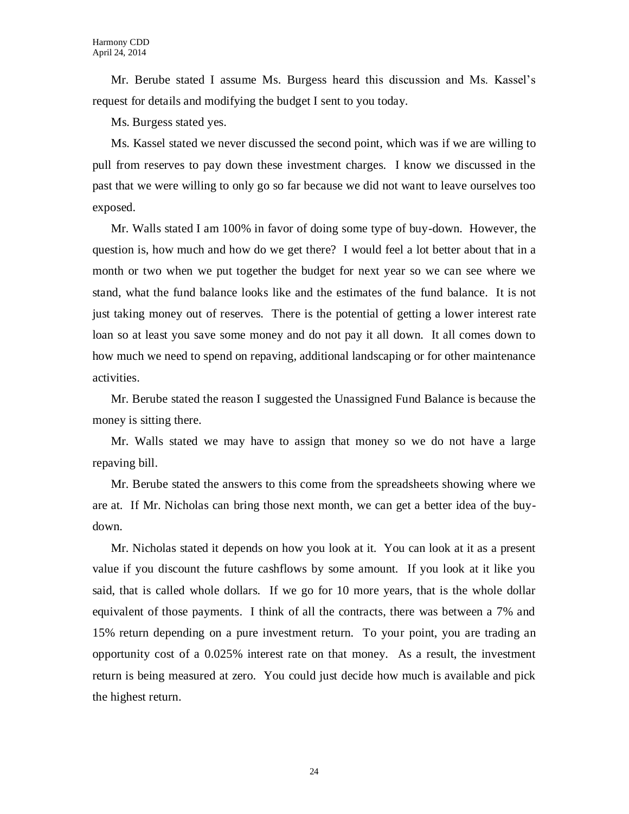Mr. Berube stated I assume Ms. Burgess heard this discussion and Ms. Kassel's request for details and modifying the budget I sent to you today.

Ms. Burgess stated yes.

Ms. Kassel stated we never discussed the second point, which was if we are willing to pull from reserves to pay down these investment charges. I know we discussed in the past that we were willing to only go so far because we did not want to leave ourselves too exposed.

Mr. Walls stated I am 100% in favor of doing some type of buy-down. However, the question is, how much and how do we get there? I would feel a lot better about that in a month or two when we put together the budget for next year so we can see where we stand, what the fund balance looks like and the estimates of the fund balance. It is not just taking money out of reserves. There is the potential of getting a lower interest rate loan so at least you save some money and do not pay it all down. It all comes down to how much we need to spend on repaving, additional landscaping or for other maintenance activities.

Mr. Berube stated the reason I suggested the Unassigned Fund Balance is because the money is sitting there.

Mr. Walls stated we may have to assign that money so we do not have a large repaving bill.

Mr. Berube stated the answers to this come from the spreadsheets showing where we are at. If Mr. Nicholas can bring those next month, we can get a better idea of the buydown.

Mr. Nicholas stated it depends on how you look at it. You can look at it as a present value if you discount the future cashflows by some amount. If you look at it like you said, that is called whole dollars. If we go for 10 more years, that is the whole dollar equivalent of those payments. I think of all the contracts, there was between a 7% and 15% return depending on a pure investment return. To your point, you are trading an opportunity cost of a 0.025% interest rate on that money. As a result, the investment return is being measured at zero. You could just decide how much is available and pick the highest return.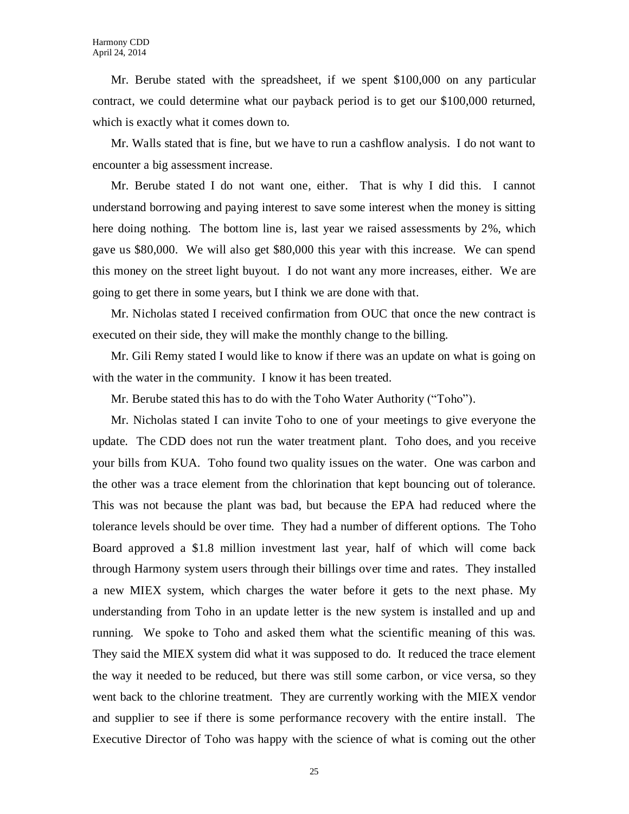Mr. Berube stated with the spreadsheet, if we spent \$100,000 on any particular contract, we could determine what our payback period is to get our \$100,000 returned, which is exactly what it comes down to.

Mr. Walls stated that is fine, but we have to run a cashflow analysis. I do not want to encounter a big assessment increase.

Mr. Berube stated I do not want one, either. That is why I did this. I cannot understand borrowing and paying interest to save some interest when the money is sitting here doing nothing. The bottom line is, last year we raised assessments by 2%, which gave us \$80,000. We will also get \$80,000 this year with this increase. We can spend this money on the street light buyout. I do not want any more increases, either. We are going to get there in some years, but I think we are done with that.

Mr. Nicholas stated I received confirmation from OUC that once the new contract is executed on their side, they will make the monthly change to the billing.

Mr. Gili Remy stated I would like to know if there was an update on what is going on with the water in the community. I know it has been treated.

Mr. Berube stated this has to do with the Toho Water Authority ("Toho").

Mr. Nicholas stated I can invite Toho to one of your meetings to give everyone the update. The CDD does not run the water treatment plant. Toho does, and you receive your bills from KUA. Toho found two quality issues on the water. One was carbon and the other was a trace element from the chlorination that kept bouncing out of tolerance. This was not because the plant was bad, but because the EPA had reduced where the tolerance levels should be over time. They had a number of different options. The Toho Board approved a \$1.8 million investment last year, half of which will come back through Harmony system users through their billings over time and rates. They installed a new MIEX system, which charges the water before it gets to the next phase. My understanding from Toho in an update letter is the new system is installed and up and running. We spoke to Toho and asked them what the scientific meaning of this was. They said the MIEX system did what it was supposed to do. It reduced the trace element the way it needed to be reduced, but there was still some carbon, or vice versa, so they went back to the chlorine treatment. They are currently working with the MIEX vendor and supplier to see if there is some performance recovery with the entire install. The Executive Director of Toho was happy with the science of what is coming out the other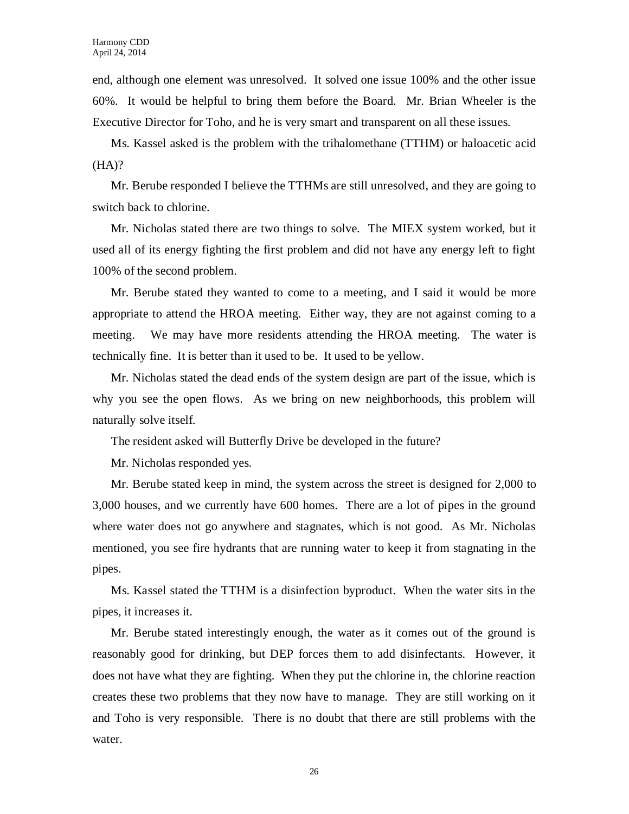end, although one element was unresolved. It solved one issue 100% and the other issue 60%. It would be helpful to bring them before the Board. Mr. Brian Wheeler is the Executive Director for Toho, and he is very smart and transparent on all these issues.

Ms. Kassel asked is the problem with the trihalomethane (TTHM) or haloacetic acid (HA)?

Mr. Berube responded I believe the TTHMs are still unresolved, and they are going to switch back to chlorine.

Mr. Nicholas stated there are two things to solve. The MIEX system worked, but it used all of its energy fighting the first problem and did not have any energy left to fight 100% of the second problem.

Mr. Berube stated they wanted to come to a meeting, and I said it would be more appropriate to attend the HROA meeting. Either way, they are not against coming to a meeting. We may have more residents attending the HROA meeting. The water is technically fine. It is better than it used to be. It used to be yellow.

Mr. Nicholas stated the dead ends of the system design are part of the issue, which is why you see the open flows. As we bring on new neighborhoods, this problem will naturally solve itself.

The resident asked will Butterfly Drive be developed in the future?

Mr. Nicholas responded yes.

Mr. Berube stated keep in mind, the system across the street is designed for 2,000 to 3,000 houses, and we currently have 600 homes. There are a lot of pipes in the ground where water does not go anywhere and stagnates, which is not good. As Mr. Nicholas mentioned, you see fire hydrants that are running water to keep it from stagnating in the pipes.

Ms. Kassel stated the TTHM is a disinfection byproduct. When the water sits in the pipes, it increases it.

Mr. Berube stated interestingly enough, the water as it comes out of the ground is reasonably good for drinking, but DEP forces them to add disinfectants. However, it does not have what they are fighting. When they put the chlorine in, the chlorine reaction creates these two problems that they now have to manage. They are still working on it and Toho is very responsible. There is no doubt that there are still problems with the water.

26